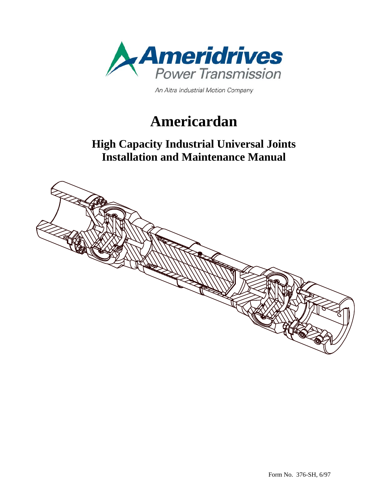

An Altra Industrial Motion Company

# **Americardan**

### **High Capacity Industrial Universal Joints Installation and Maintenance Manual**

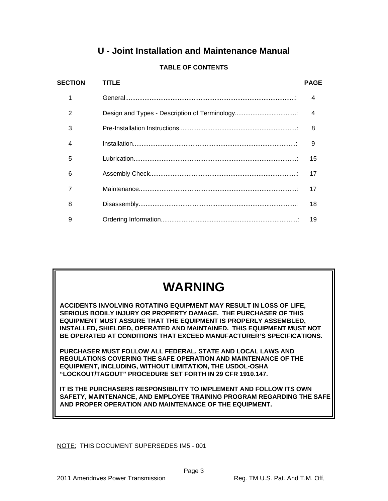### **U - Joint Installation and Maintenance Manual**

| <b>SECTION</b> | TITLE | <b>PAGE</b> |
|----------------|-------|-------------|
| 1              |       | 4           |
| 2              |       | 4           |
| 3              |       | 8           |
| 4              |       | 9           |
| 5              |       | 15          |
| 6              |       | 17          |
| 7              |       | 17          |
| 8              |       | 18          |
| 9              |       | 19          |

#### **TABLE OF CONTENTS**

## **WARNING**

 **ACCIDENTS INVOLVING ROTATING EQUIPMENT MAY RESULT IN LOSS OF LIFE, SERIOUS BODILY INJURY OR PROPERTY DAMAGE. THE PURCHASER OF THIS EQUIPMENT MUST ASSURE THAT THE EQUIPMENT IS PROPERLY ASSEMBLED, INSTALLED, SHIELDED, OPERATED AND MAINTAINED. THIS EQUIPMENT MUST NOT BE OPERATED AT CONDITIONS THAT EXCEED MANUFACTURER'S SPECIFICATIONS.** 

 **PURCHASER MUST FOLLOW ALL FEDERAL, STATE AND LOCAL LAWS AND REGULATIONS COVERING THE SAFE OPERATION AND MAINTENANCE OF THE EQUIPMENT, INCLUDING, WITHOUT LIMITATION, THE USDOL-OSHA "LOCKOUT/TAGOUT" PROCEDURE SET FORTH IN 29 CFR 1910.147.** 

 **IT IS THE PURCHASERS RESPONSIBILITY TO IMPLEMENT AND FOLLOW ITS OWN SAFETY, MAINTENANCE, AND EMPLOYEE TRAINING PROGRAM REGARDING THE SAFE AND PROPER OPERATION AND MAINTENANCE OF THE EQUIPMENT.** 

NOTE: THIS DOCUMENT SUPERSEDES IM5 - 001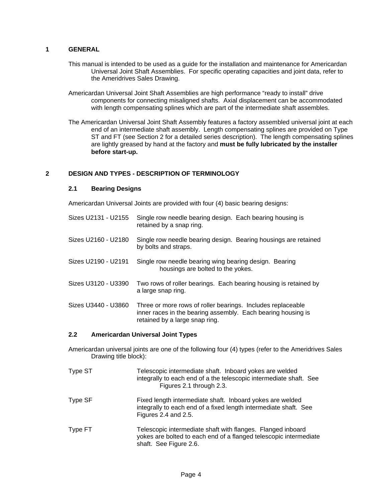#### **1 GENERAL**

- This manual is intended to be used as a guide for the installation and maintenance for Americardan Universal Joint Shaft Assemblies. For specific operating capacities and joint data, refer to the Ameridrives Sales Drawing.
- Americardan Universal Joint Shaft Assemblies are high performance "ready to install" drive components for connecting misaligned shafts. Axial displacement can be accommodated with length compensating splines which are part of the intermediate shaft assembles.
- The Americardan Universal Joint Shaft Assembly features a factory assembled universal joint at each end of an intermediate shaft assembly. Length compensating splines are provided on Type ST and FT (see Section 2 for a detailed series description). The length compensating splines are lightly greased by hand at the factory and **must be fully lubricated by the installer before start-up.**

#### **2 DESIGN AND TYPES - DESCRIPTION OF TERMINOLOGY**

#### **2.1 Bearing Designs**

Americardan Universal Joints are provided with four (4) basic bearing designs:

| Sizes U2131 - U2155 | Single row needle bearing design. Each bearing housing is<br>retained by a snap ring.                                                                         |
|---------------------|---------------------------------------------------------------------------------------------------------------------------------------------------------------|
| Sizes U2160 - U2180 | Single row needle bearing design. Bearing housings are retained<br>by bolts and straps.                                                                       |
| Sizes U2190 - U2191 | Single row needle bearing wing bearing design. Bearing<br>housings are bolted to the yokes.                                                                   |
| Sizes U3120 - U3390 | Two rows of roller bearings. Each bearing housing is retained by<br>a large snap ring.                                                                        |
| Sizes U3440 - U3860 | Three or more rows of roller bearings. Includes replaceable<br>inner races in the bearing assembly. Each bearing housing is<br>retained by a large snap ring. |

#### **2.2 Americardan Universal Joint Types**

Americardan universal joints are one of the following four (4) types (refer to the Ameridrives Sales Drawing title block):

| Type ST | Telescopic intermediate shaft. Inboard yokes are welded<br>integrally to each end of a the telescopic intermediate shaft. See<br>Figures 2.1 through 2.3.  |
|---------|------------------------------------------------------------------------------------------------------------------------------------------------------------|
| Type SF | Fixed length intermediate shaft. Inboard yokes are welded<br>integrally to each end of a fixed length intermediate shaft. See<br>Figures 2.4 and 2.5.      |
| Type FT | Telescopic intermediate shaft with flanges. Flanged inboard<br>yokes are bolted to each end of a flanged telescopic intermediate<br>shaft. See Figure 2.6. |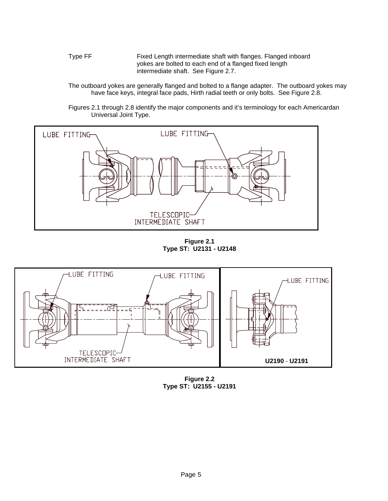Type FF Fixed Length intermediate shaft with flanges. Flanged inboard yokes are bolted to each end of a flanged fixed length intermediate shaft. See Figure 2.7.

The outboard yokes are generally flanged and bolted to a flange adapter. The outboard yokes may have face keys, integral face pads, Hirth radial teeth or only bolts. See Figure 2.8.

Figures 2.1 through 2.8 identify the major components and it's terminology for each Americardan Universal Joint Type.



**Figure 2.1 Type ST: U2131 - U2148**



**Figure 2.2 Type ST: U2155 - U2191**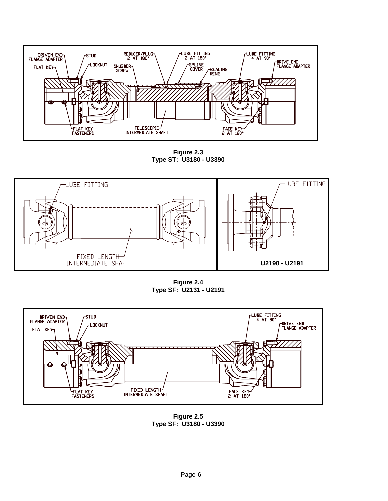

**Figure 2.3 Type ST: U3180 - U3390** 



**Figure 2.4 Type SF: U2131 - U2191** 



**Figure 2.5 Type SF: U3180 - U3390**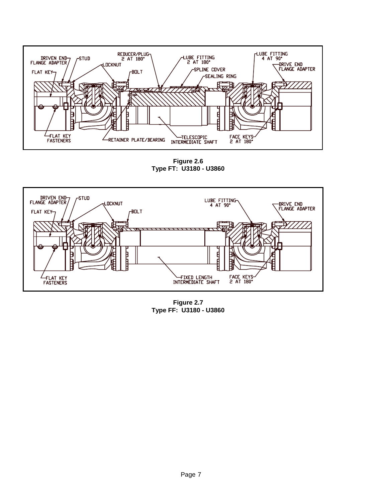

**Figure 2.6 Type FT: U3180 - U3860** 



**Figure 2.7 Type FF: U3180 - U3860**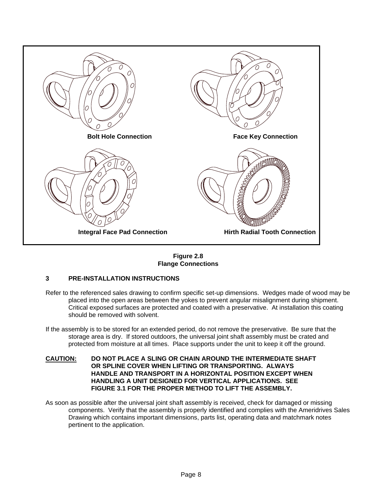

**Figure 2.8 Flange Connections** 

#### **3 PRE-INSTALLATION INSTRUCTIONS**

- Refer to the referenced sales drawing to confirm specific set-up dimensions. Wedges made of wood may be placed into the open areas between the yokes to prevent angular misalignment during shipment. Critical exposed surfaces are protected and coated with a preservative. At installation this coating should be removed with solvent.
- If the assembly is to be stored for an extended period, do not remove the preservative. Be sure that the storage area is dry. If stored outdoors, the universal joint shaft assembly must be crated and protected from moisture at all times. Place supports under the unit to keep it off the ground.
- **CAUTION: DO NOT PLACE A SLING OR CHAIN AROUND THE INTERMEDIATE SHAFT OR SPLINE COVER WHEN LIFTING OR TRANSPORTING. ALWAYS HANDLE AND TRANSPORT IN A HORIZONTAL POSITION EXCEPT WHEN HANDLING A UNIT DESIGNED FOR VERTICAL APPLICATIONS. SEE FIGURE 3.1 FOR THE PROPER METHOD TO LIFT THE ASSEMBLY.**
- As soon as possible after the universal joint shaft assembly is received, check for damaged or missing components. Verify that the assembly is properly identified and complies with the Ameridrives Sales Drawing which contains important dimensions, parts list, operating data and matchmark notes pertinent to the application.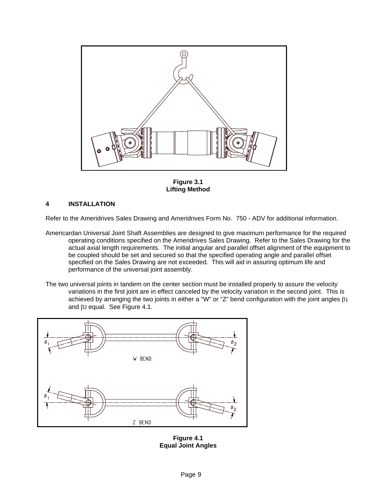

**Figure 3.1 Lifting Method**

#### **4 INSTALLATION**

Refer to the Ameridrives Sales Drawing and Ameridrives Form No. 750 - ADV for additional information.

- Americardan Universal Joint Shaft Assemblies are designed to give maximum performance for the required operating conditions specified on the Ameridrives Sales Drawing. Refer to the Sales Drawing for the actual axial length requirements. The initial angular and parallel offset alignment of the equipment to be coupled should be set and secured so that the specified operating angle and parallel offset specified on the Sales Drawing are not exceeded. This will aid in assuring optimum life and performance of the universal joint assembly.
- The two universal joints in tandem on the center section must be installed properly to assure the velocity variations in the first joint are in effect canceled by the velocity variation in the second joint. This is achieved by arranging the two joints in either a "W" or "Z" bend configuration with the joint angles β1 and β2 equal. See Figure 4.1.



**Figure 4.1 Equal Joint Angles**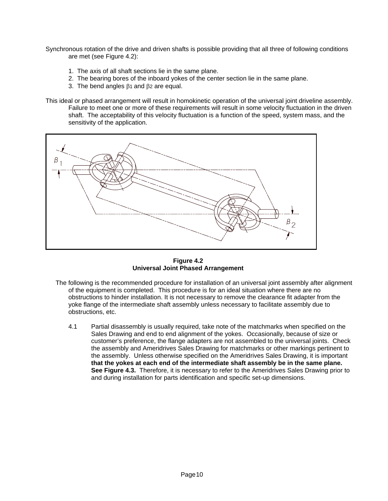Synchronous rotation of the drive and driven shafts is possible providing that all three of following conditions are met (see Figure 4.2):

- 1. The axis of all shaft sections lie in the same plane.
- 2. The bearing bores of the inboard yokes of the center section lie in the same plane.
- 3. The bend angles  $β$ 1 and  $β$ 2 are equal.

This ideal or phased arrangement will result in homokinetic operation of the universal joint driveline assembly. Failure to meet one or more of these requirements will result in some velocity fluctuation in the driven shaft. The acceptability of this velocity fluctuation is a function of the speed, system mass, and the sensitivity of the application.



**Figure 4.2 Universal Joint Phased Arrangement**

- The following is the recommended procedure for installation of an universal joint assembly after alignment of the equipment is completed. This procedure is for an ideal situation where there are no obstructions to hinder installation. It is not necessary to remove the clearance fit adapter from the yoke flange of the intermediate shaft assembly unless necessary to facilitate assembly due to obstructions, etc.
	- 4.1 Partial disassembly is usually required, take note of the matchmarks when specified on the Sales Drawing and end to end alignment of the yokes. Occasionally, because of size or customer's preference, the flange adapters are not assembled to the universal joints. Check the assembly and Ameridrives Sales Drawing for matchmarks or other markings pertinent to the assembly. Unless otherwise specified on the Ameridrives Sales Drawing, it is important **that the yokes at each end of the intermediate shaft assembly be in the same plane. See Figure 4.3.** Therefore, it is necessary to refer to the Ameridrives Sales Drawing prior to and during installation for parts identification and specific set-up dimensions.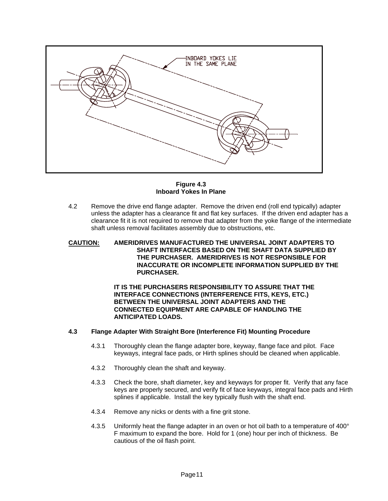

**Figure 4.3 Inboard Yokes In Plane**

- 4.2 Remove the drive end flange adapter. Remove the driven end (roll end typically) adapter unless the adapter has a clearance fit and flat key surfaces. If the driven end adapter has a clearance fit it is not required to remove that adapter from the yoke flange of the intermediate shaft unless removal facilitates assembly due to obstructions, etc.
- **CAUTION: AMERIDRIVES MANUFACTURED THE UNIVERSAL JOINT ADAPTERS TO SHAFT INTERFACES BASED ON THE SHAFT DATA SUPPLIED BY THE PURCHASER. AMERIDRIVES IS NOT RESPONSIBLE FOR INACCURATE OR INCOMPLETE INFORMATION SUPPLIED BY THE PURCHASER.**

 **IT IS THE PURCHASERS RESPONSIBILITY TO ASSURE THAT THE INTERFACE CONNECTIONS (INTERFERENCE FITS, KEYS, ETC.) BETWEEN THE UNIVERSAL JOINT ADAPTERS AND THE CONNECTED EQUIPMENT ARE CAPABLE OF HANDLING THE ANTICIPATED LOADS.** 

#### **4.3 Flange Adapter With Straight Bore (Interference Fit) Mounting Procedure**

- 4.3.1 Thoroughly clean the flange adapter bore, keyway, flange face and pilot. Face keyways, integral face pads, or Hirth splines should be cleaned when applicable.
- 4.3.2 Thoroughly clean the shaft and keyway.
- 4.3.3 Check the bore, shaft diameter, key and keyways for proper fit. Verify that any face keys are properly secured, and verify fit of face keyways, integral face pads and Hirth splines if applicable. Install the key typically flush with the shaft end.
- 4.3.4 Remove any nicks or dents with a fine grit stone.
- 4.3.5 Uniformly heat the flange adapter in an oven or hot oil bath to a temperature of 400° F maximum to expand the bore. Hold for 1 (one) hour per inch of thickness. Be cautious of the oil flash point.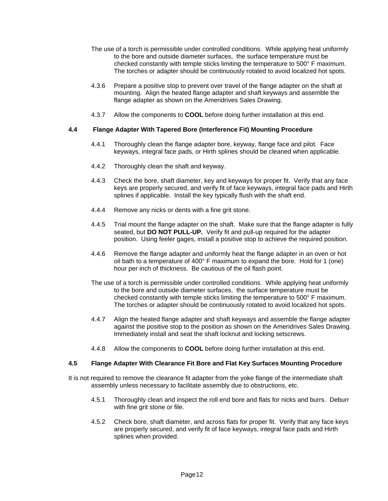- The use of a torch is permissible under controlled conditions. While applying heat uniformly to the bore and outside diameter surfaces, the surface temperature must be checked constantly with temple sticks limiting the temperature to 500° F maximum. The torches or adapter should be continuously rotated to avoid localized hot spots.
- 4.3.6 Prepare a positive stop to prevent over travel of the flange adapter on the shaft at mounting. Align the heated flange adapter and shaft keyways and assemble the flange adapter as shown on the Ameridrives Sales Drawing.
- 4.3.7 Allow the components to **COOL** before doing further installation at this end.

#### **4.4 Flange Adapter With Tapered Bore (Interference Fit) Mounting Procedure**

- 4.4.1 Thoroughly clean the flange adapter bore, keyway, flange face and pilot. Face keyways, integral face pads, or Hirth splines should be cleaned when applicable.
- 4.4.2 Thoroughly clean the shaft and keyway.
- 4.4.3 Check the bore, shaft diameter, key and keyways for proper fit. Verify that any face keys are properly secured, and verify fit of face keyways, integral face pads and Hirth splines if applicable. Install the key typically flush with the shaft end.
- 4.4.4 Remove any nicks or dents with a fine grit stone.
- 4.4.5 Trial mount the flange adapter on the shaft. Make sure that the flange adapter is fully seated, but **DO NOT PULL-UP.** Verify fit and pull-up required for the adapter position. Using feeler gages, install a positive stop to achieve the required position.
- 4.4.6 Remove the flange adapter and uniformly heat the flange adapter in an oven or hot oil bath to a temperature of 400° F maximum to expand the bore. Hold for 1 (one) hour per inch of thickness. Be cautious of the oil flash point.
- The use of a torch is permissible under controlled conditions. While applying heat uniformly to the bore and outside diameter surfaces, the surface temperature must be checked constantly with temple sticks limiting the temperature to 500° F maximum. The torches or adapter should be continuously rotated to avoid localized hot spots.
- 4.4.7 Align the heated flange adapter and shaft keyways and assemble the flange adapter against the positive stop to the position as shown on the Ameridrives Sales Drawing. Immediately install and seat the shaft locknut and locking setscrews.
- 4.4.8 Allow the components to **COOL** before doing further installation at this end.

#### **4.5 Flange Adapter With Clearance Fit Bore and Flat Key Surfaces Mounting Procedure**

- It is not required to remove the clearance fit adapter from the yoke flange of the intermediate shaft assembly unless necessary to facilitate assembly due to obstructions, etc.
	- 4.5.1 Thoroughly clean and inspect the roll end bore and flats for nicks and burrs. Deburr with fine grit stone or file.
	- 4.5.2 Check bore, shaft diameter, and across flats for proper fit. Verify that any face keys are properly secured, and verify fit of face keyways, integral face pads and Hirth splines when provided.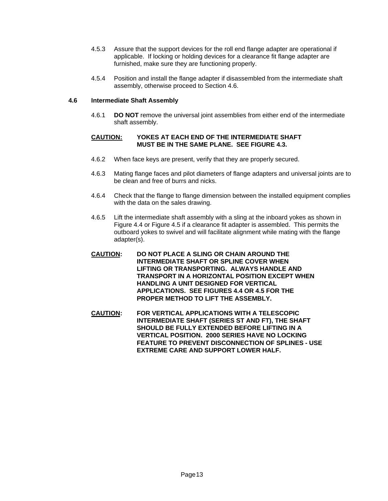- 4.5.3 Assure that the support devices for the roll end flange adapter are operational if applicable. If locking or holding devices for a clearance fit flange adapter are furnished, make sure they are functioning properly.
- 4.5.4 Position and install the flange adapter if disassembled from the intermediate shaft assembly, otherwise proceed to Section 4.6.

#### **4.6 Intermediate Shaft Assembly**

4.6.1 **DO NOT** remove the universal joint assemblies from either end of the intermediate shaft assembly.

#### **CAUTION: YOKES AT EACH END OF THE INTERMEDIATE SHAFT MUST BE IN THE SAME PLANE. SEE FIGURE 4.3.**

- 4.6.2 When face keys are present, verify that they are properly secured.
- 4.6.3 Mating flange faces and pilot diameters of flange adapters and universal joints are to be clean and free of burrs and nicks.
- 4.6.4 Check that the flange to flange dimension between the installed equipment complies with the data on the sales drawing.
- 4.6.5 Lift the intermediate shaft assembly with a sling at the inboard yokes as shown in Figure 4.4 or Figure 4.5 if a clearance fit adapter is assembled. This permits the outboard yokes to swivel and will facilitate alignment while mating with the flange adapter(s).
- **CAUTION: DO NOT PLACE A SLING OR CHAIN AROUND THE INTERMEDIATE SHAFT OR SPLINE COVER WHEN LIFTING OR TRANSPORTING. ALWAYS HANDLE AND TRANSPORT IN A HORIZONTAL POSITION EXCEPT WHEN HANDLING A UNIT DESIGNED FOR VERTICAL APPLICATIONS. SEE FIGURES 4.4 OR 4.5 FOR THE PROPER METHOD TO LIFT THE ASSEMBLY.**
- **CAUTION: FOR VERTICAL APPLICATIONS WITH A TELESCOPIC INTERMEDIATE SHAFT (SERIES ST AND FT), THE SHAFT SHOULD BE FULLY EXTENDED BEFORE LIFTING IN A VERTICAL POSITION. 2000 SERIES HAVE NO LOCKING FEATURE TO PREVENT DISCONNECTION OF SPLINES - USE EXTREME CARE AND SUPPORT LOWER HALF.**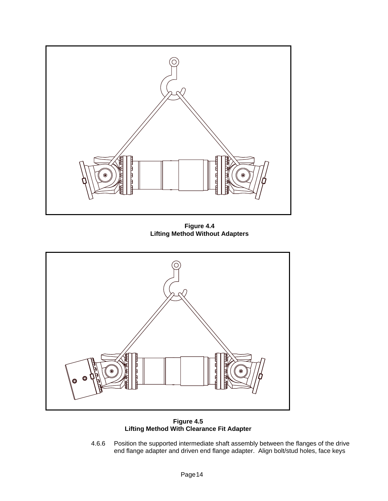

**Figure 4.4 Lifting Method Without Adapters**



**Figure 4.5 Lifting Method With Clearance Fit Adapter**

4.6.6 Position the supported intermediate shaft assembly between the flanges of the drive end flange adapter and driven end flange adapter. Align bolt/stud holes, face keys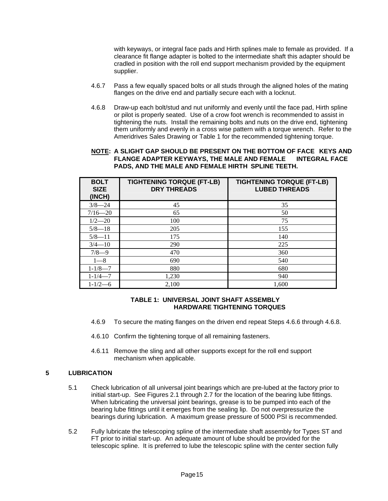with keyways, or integral face pads and Hirth splines male to female as provided. If a clearance fit flange adapter is bolted to the intermediate shaft this adapter should be cradled in position with the roll end support mechanism provided by the equipment supplier.

- 4.6.7 Pass a few equally spaced bolts or all studs through the aligned holes of the mating flanges on the drive end and partially secure each with a locknut.
- 4.6.8 Draw-up each bolt/stud and nut uniformly and evenly until the face pad, Hirth spline or pilot is properly seated. Use of a crow foot wrench is recommended to assist in tightening the nuts. Install the remaining bolts and nuts on the drive end, tightening them uniformly and evenly in a cross wise pattern with a torque wrench. Refer to the Ameridrives Sales Drawing or Table 1 for the recommended tightening torque.

#### **NOTE: A SLIGHT GAP SHOULD BE PRESENT ON THE BOTTOM OF FACE KEYS AND FLANGE ADAPTER KEYWAYS, THE MALE AND FEMALE INTEGRAL FACE PADS, AND THE MALE AND FEMALE HIRTH SPLINE TEETH.**

| <b>BOLT</b><br><b>SIZE</b><br>(INCH) | <b>TIGHTENING TORQUE (FT-LB)</b><br><b>DRY THREADS</b> | <b>TIGHTENING TORQUE (FT-LB)</b><br><b>LUBED THREADS</b> |
|--------------------------------------|--------------------------------------------------------|----------------------------------------------------------|
| $3/8 - 24$                           | 45                                                     | 35                                                       |
| $7/16 - 20$                          | 65                                                     | 50                                                       |
| $1/2 - 20$                           | 100                                                    | 75                                                       |
| $5/8 - 18$                           | 205                                                    | 155                                                      |
| $5/8 - 11$                           | 175                                                    | 140                                                      |
| $3/4 - 10$                           | 290                                                    | 225                                                      |
| $7/8-9$                              | 470                                                    | 360                                                      |
| $1 - 8$                              | 690                                                    | 540                                                      |
| $1 - 1/8 - 7$                        | 880                                                    | 680                                                      |
| $1 - 1/4 - 7$                        | 1,230                                                  | 940                                                      |
| $1 - 1/2 - 6$                        | 2,100                                                  | 1.600                                                    |

#### **TABLE 1: UNIVERSAL JOINT SHAFT ASSEMBLY HARDWARE TIGHTENING TORQUES**

- 4.6.9 To secure the mating flanges on the driven end repeat Steps 4.6.6 through 4.6.8.
- 4.6.10 Confirm the tightening torque of all remaining fasteners.
- 4.6.11 Remove the sling and all other supports except for the roll end support mechanism when applicable.

#### **5 LUBRICATION**

- 5.1 Check lubrication of all universal joint bearings which are pre-lubed at the factory prior to initial start-up. See Figures 2.1 through 2.7 for the location of the bearing lube fittings. When lubricating the universal joint bearings, grease is to be pumped into each of the bearing lube fittings until it emerges from the sealing lip. Do not overpressurize the bearings during lubrication. A maximum grease pressure of 5000 PSI is recommended.
- 5.2 Fully lubricate the telescoping spline of the intermediate shaft assembly for Types ST and FT prior to initial start-up. An adequate amount of lube should be provided for the telescopic spline. It is preferred to lube the telescopic spline with the center section fully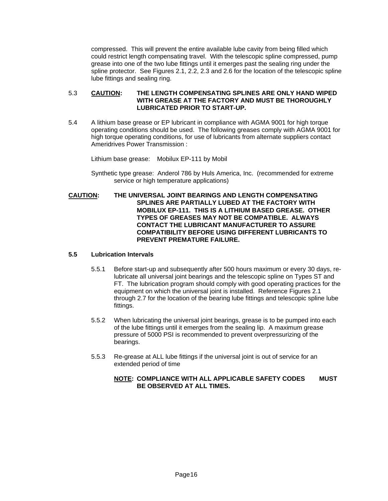compressed. This will prevent the entire available lube cavity from being filled which could restrict length compensating travel. With the telescopic spline compressed, pump grease into one of the two lube fittings until it emerges past the sealing ring under the spline protector. See Figures 2.1, 2.2, 2.3 and 2.6 for the location of the telescopic spline lube fittings and sealing ring.

#### 5.3 **CAUTION: THE LENGTH COMPENSATING SPLINES ARE ONLY HAND WIPED WITH GREASE AT THE FACTORY AND MUST BE THOROUGHLY LUBRICATED PRIOR TO START-UP.**

5.4 A lithium base grease or EP lubricant in compliance with AGMA 9001 for high torque operating conditions should be used. The following greases comply with AGMA 9001 for high torque operating conditions, for use of lubricants from alternate suppliers contact Ameridrives Power Transmission :

Lithium base grease: Mobilux EP-111 by Mobil

- Synthetic type grease: Anderol 786 by Huls America, Inc. (recommended for extreme service or high temperature applications)
- **CAUTION: THE UNIVERSAL JOINT BEARINGS AND LENGTH COMPENSATING SPLINES ARE PARTIALLY LUBED AT THE FACTORY WITH MOBILUX EP-111. THIS IS A LITHIUM BASED GREASE. OTHER TYPES OF GREASES MAY NOT BE COMPATIBLE. ALWAYS CONTACT THE LUBRICANT MANUFACTURER TO ASSURE COMPATIBILITY BEFORE USING DIFFERENT LUBRICANTS TO PREVENT PREMATURE FAILURE.**

#### **5.5 Lubrication Intervals**

- 5.5.1 Before start-up and subsequently after 500 hours maximum or every 30 days, relubricate all universal joint bearings and the telescopic spline on Types ST and FT. The lubrication program should comply with good operating practices for the equipment on which the universal joint is installed. Reference Figures 2.1 through 2.7 for the location of the bearing lube fittings and telescopic spline lube fittings.
- 5.5.2 When lubricating the universal joint bearings, grease is to be pumped into each of the lube fittings until it emerges from the sealing lip. A maximum grease pressure of 5000 PSI is recommended to prevent overpressurizing of the bearings.
- 5.5.3 Re-grease at ALL lube fittings if the universal joint is out of service for an extended period of time

#### **NOTE: COMPLIANCE WITH ALL APPLICABLE SAFETY CODES MUST BE OBSERVED AT ALL TIMES.**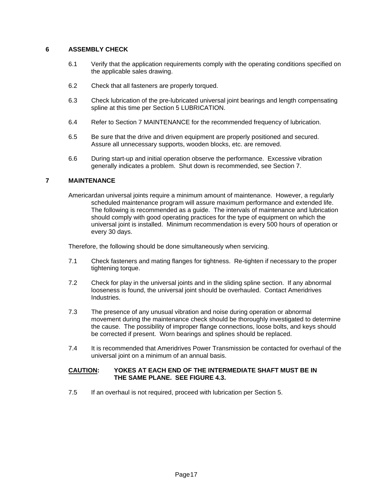#### **6 ASSEMBLY CHECK**

- 6.1 Verify that the application requirements comply with the operating conditions specified on the applicable sales drawing.
- 6.2 Check that all fasteners are properly torqued.
- 6.3 Check lubrication of the pre-lubricated universal joint bearings and length compensating spline at this time per Section 5 LUBRICATION.
- 6.4 Refer to Section 7 MAINTENANCE for the recommended frequency of lubrication.
- 6.5 Be sure that the drive and driven equipment are properly positioned and secured. Assure all unnecessary supports, wooden blocks, etc. are removed.
- 6.6 During start-up and initial operation observe the performance. Excessive vibration generally indicates a problem. Shut down is recommended, see Section 7.

#### **7 MAINTENANCE**

Americardan universal joints require a minimum amount of maintenance. However, a regularly scheduled maintenance program will assure maximum performance and extended life. The following is recommended as a guide. The intervals of maintenance and lubrication should comply with good operating practices for the type of equipment on which the universal joint is installed. Minimum recommendation is every 500 hours of operation or every 30 days.

Therefore, the following should be done simultaneously when servicing.

- 7.1 Check fasteners and mating flanges for tightness. Re-tighten if necessary to the proper tightening torque.
- 7.2 Check for play in the universal joints and in the sliding spline section. If any abnormal looseness is found, the universal joint should be overhauled. Contact Ameridrives Industries.
- 7.3 The presence of any unusual vibration and noise during operation or abnormal movement during the maintenance check should be thoroughly investigated to determine the cause. The possibility of improper flange connections, loose bolts, and keys should be corrected if present. Worn bearings and splines should be replaced.
- 7.4 It is recommended that Ameridrives Power Transmission be contacted for overhaul of the universal joint on a minimum of an annual basis.

#### **CAUTION: YOKES AT EACH END OF THE INTERMEDIATE SHAFT MUST BE IN THE SAME PLANE. SEE FIGURE 4.3.**

7.5 If an overhaul is not required, proceed with lubrication per Section 5.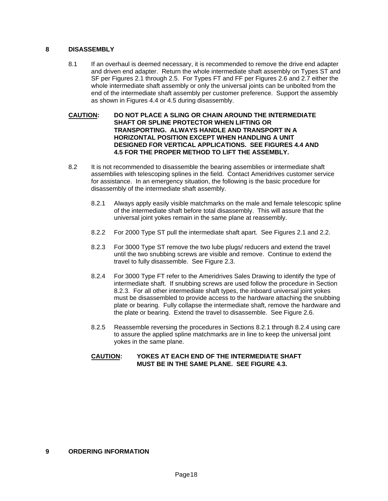#### **8 DISASSEMBLY**

- 8.1 If an overhaul is deemed necessary, it is recommended to remove the drive end adapter and driven end adapter. Return the whole intermediate shaft assembly on Types ST and SF per Figures 2.1 through 2.5. For Types FT and FF per Figures 2.6 and 2.7 either the whole intermediate shaft assembly or only the universal joints can be unbolted from the end of the intermediate shaft assembly per customer preference. Support the assembly as shown in Figures 4.4 or 4.5 during disassembly.
- **CAUTION: DO NOT PLACE A SLING OR CHAIN AROUND THE INTERMEDIATE SHAFT OR SPLINE PROTECTOR WHEN LIFTING OR TRANSPORTING. ALWAYS HANDLE AND TRANSPORT IN A HORIZONTAL POSITION EXCEPT WHEN HANDLING A UNIT DESIGNED FOR VERTICAL APPLICATIONS. SEE FIGURES 4.4 AND 4.5 FOR THE PROPER METHOD TO LIFT THE ASSEMBLY.**
- 8.2 It is not recommended to disassemble the bearing assemblies or intermediate shaft assemblies with telescoping splines in the field. Contact Ameridrives customer service for assistance. In an emergency situation, the following is the basic procedure for disassembly of the intermediate shaft assembly.
	- 8.2.1 Always apply easily visible matchmarks on the male and female telescopic spline of the intermediate shaft before total disassembly. This will assure that the universal joint yokes remain in the same plane at reassembly.
	- 8.2.2 For 2000 Type ST pull the intermediate shaft apart. See Figures 2.1 and 2.2.
	- 8.2.3 For 3000 Type ST remove the two lube plugs/ reducers and extend the travel until the two snubbing screws are visible and remove. Continue to extend the travel to fully disassemble. See Figure 2.3.
	- 8.2.4 For 3000 Type FT refer to the Ameridrives Sales Drawing to identify the type of intermediate shaft. If snubbing screws are used follow the procedure in Section 8.2.3. For all other intermediate shaft types, the inboard universal joint yokes must be disassembled to provide access to the hardware attaching the snubbing plate or bearing. Fully collapse the intermediate shaft, remove the hardware and the plate or bearing. Extend the travel to disassemble. See Figure 2.6.
	- 8.2.5 Reassemble reversing the procedures in Sections 8.2.1 through 8.2.4 using care to assure the applied spline matchmarks are in line to keep the universal joint yokes in the same plane.

#### **CAUTION: YOKES AT EACH END OF THE INTERMEDIATE SHAFT MUST BE IN THE SAME PLANE. SEE FIGURE 4.3.**

**9 ORDERING INFORMATION**